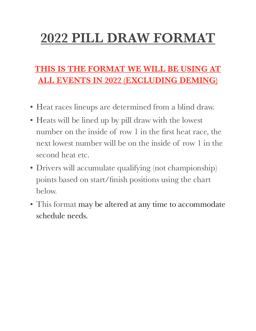# **2022 PILL DRAW FORMAT**

#### **THIS IS THE FORMAT WE WILL BE USING AT ALL EVENTS IN 2022 (EXCLUDING DEMING)**

- Heat races lineups are determined from a blind draw.
- Heats will be lined up by pill draw with the lowest number on the inside of row 1 in the first heat race, the next lowest number will be on the inside of row 1 in the second heat etc.
- Drivers will accumulate qualifying (not championship) points based on start/finish positions using the chart below.
- This format may be altered at any time to accommodate schedule needs.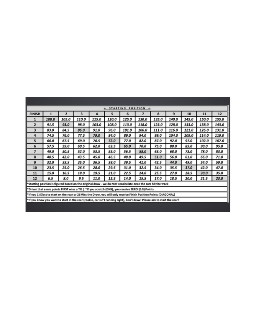| & STARTING<br>POSITION ->                                                                                               |       |       |       |       |       |       |       |       |       |       |       |       |
|-------------------------------------------------------------------------------------------------------------------------|-------|-------|-------|-------|-------|-------|-------|-------|-------|-------|-------|-------|
| <b>FINISH</b>                                                                                                           | 1     | 2     | 3     | 4     | 5     | 6     | 7     | 8     | 9     | 10    | 11    | 12    |
| 1                                                                                                                       | 100.0 | 105.0 | 110.0 | 115.0 | 120.0 | 125.0 | 130.0 | 135.0 | 140.0 | 145.0 | 150.0 | 155.0 |
| 2                                                                                                                       | 91.5  | 93.0  | 98.0  | 103.0 | 108.0 | 113.0 | 118.0 | 123.0 | 128.0 | 133.0 | 138.0 | 143.0 |
| 3                                                                                                                       | 83.0  | 84.5  | 86.0  | 91.0  | 96.0  | 101.0 | 106.0 | 111.0 | 116.0 | 121.0 | 126.0 | 131.0 |
| 4                                                                                                                       | 74.5  | 76.0  | 77.5  | 79.0  | 84.0  | 89.0  | 94.0  | 99.0  | 104.0 | 109.0 | 114.0 | 119.0 |
| 5                                                                                                                       | 66.0  | 67.5  | 69.0  | 70.5  | 72.0  | 77.0  | 82.0  | 87.0  | 92.0  | 97.0  | 102.0 | 107.0 |
| 6                                                                                                                       | 57.5  | 59.0  | 60.5  | 62.0  | 63.5  | 65.0  | 70.0  | 75.0  | 80.0  | 85.0  | 90.0  | 95.0  |
| 7                                                                                                                       | 49.0  | 50.5  | 52.0  | 53.5  | 55.0  | 56.5  | 58.0  | 63.0  | 68.0  | 73.0  | 78.0  | 83.0  |
| 8                                                                                                                       | 40.5  | 42.0  | 43.5  | 45.0  | 46.5  | 48.0  | 49.5  | 51.0  | 56.0  | 61.0  | 66.0  | 71.0  |
| 9                                                                                                                       | 32.0  | 33.5  | 35.O  | 36.5  | 38.0  | 39.5  | 41.0  | 42.5  | 44.0  | 49.0  | 54.0  | 59.0  |
| 10                                                                                                                      | 23.5  | 25.0  | 26.5  | 28.0  | 29.5  | 31.0  | 32.5  | 34.0  | 35.5  | 37.0  | 42.0  | 47.0  |
| 11                                                                                                                      | 15.0  | 16.5  | 18.0  | 19.5  | 21.0  | 22.5  | 24.0  | 25.5  | 27.0  | 28.5  | 30.0  | 35.0  |
| 12                                                                                                                      | 6.5   | 8.0   | 9.5   | 11.0  | 12.5  | 14.0  | 15.5  | 17.0  | 18.5  | 20.0  | 21.5  | 23.0  |
| *Starting position is figured based on the original draw - we do NOT recalculate once the cars hit the track            |       |       |       |       |       |       |       |       |       |       |       |       |
| *Driver that earns points FIRST wins a TIE   *If you scratch (DNS), you receive ZERO (0.0) Points                       |       |       |       |       |       |       |       |       |       |       |       |       |
| "If you 1) Elect to start on the rear or 2) Miss the Draw, you will only receive Finish Position Points (DIAGONAL)      |       |       |       |       |       |       |       |       |       |       |       |       |
| *If you know you want to start in the rear (rookie, car isn't running right), don't draw! Please ask to start the rear! |       |       |       |       |       |       |       |       |       |       |       |       |
|                                                                                                                         |       |       |       |       |       |       |       |       |       |       |       |       |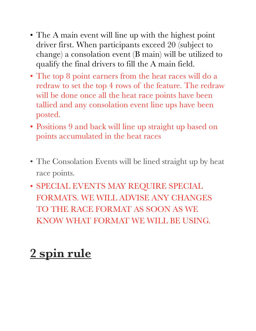- The A main event will line up with the highest point driver first. When participants exceed 20 (subject to change) a consolation event (B main) will be utilized to qualify the final drivers to fill the A main field.
- The top 8 point earners from the heat races will do a redraw to set the top 4 rows of the feature. The redraw will be done once all the heat race points have been tallied and any consolation event line ups have been posted.
- Positions 9 and back will line up straight up based on points accumulated in the heat races
- The Consolation Events will be lined straight up by heat race points.
- SPECIAL EVENTS MAY REQUIRE SPECIAL FORMATS. WE WILL ADVISE ANY CHANGES TO THE RACE FORMAT AS SOON AS WE KNOW WHAT FORMAT WE WILL BE USING.

## **2 spin rule**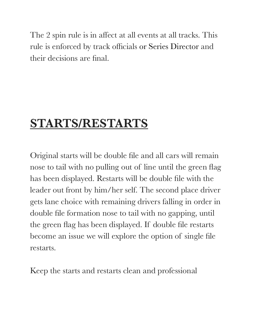The 2 spin rule is in affect at all events at all tracks. This rule is enforced by track officials or Series Director and their decisions are final.

### **STARTS/RESTARTS**

Original starts will be double file and all cars will remain nose to tail with no pulling out of line until the green flag has been displayed. Restarts will be double file with the leader out front by him/her self. The second place driver gets lane choice with remaining drivers falling in order in double file formation nose to tail with no gapping, until the green flag has been displayed. If double file restarts become an issue we will explore the option of single file restarts.

Keep the starts and restarts clean and professional